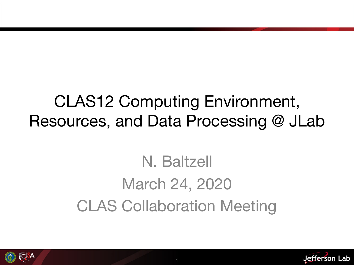## CLAS12 Computing Environment, Resources, and Data Processing @ JLab

# N. Baltzell March 24, 2020 CLAS Collaboration Meeting



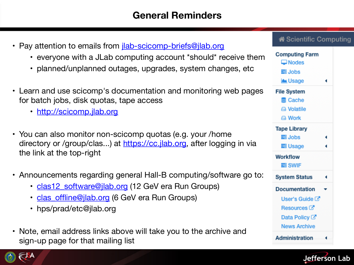#### **General Reminders**

- Pay attention to emails from *ilab-scicomp-briefs@jlab.org* 
	- everyone with a JLab computing account \*should\* receive them
	- planned/unplanned outages, upgrades, system changes, etc
- Learn and use scicomp's documentation and monitoring web pages for batch jobs, disk quotas, tape access
	- <http://scicomp.jlab.org>
- You can also monitor non-scicomp quotas (e.g. your /home directory or /group/clas...) at <https://cc.jlab.org>, after logging in via the link at the top-right
- Announcements regarding general Hall-B computing/software go to:
	- clas12 software@jlab.org (12 GeV era Run Groups)
	- [clas\\_offline@jlab.org](https://mailman.jlab.org/mailman/listinfo/clas_offline) (6 GeV era Run Groups)
	- hps/prad/etc@jlab.org
- Note, email address links above will take you to the archive and sign-up page for that mailing list

|  |  | « Scientific Computing |
|--|--|------------------------|
|  |  |                        |



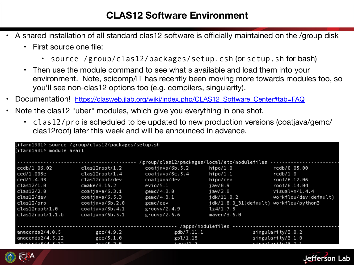- A shared installation of all standard clas12 software is officially maintained on the /group disk
	- First source one file:
		- source /group/clas12/packages/setup.csh (or setup.sh for bash)
	- Then use the module command to see what's available and load them into your environment. Note, scicomp/IT has recently been moving more towards modules too, so you'll see non-clas12 options too (e.g. compilers, singularity).
- Documentation! [https://clasweb.jlab.org/wiki/index.php/CLAS12\\_Software\\_Center#tab=FAQ](https://clasweb.jlab.org/wiki/index.php/CLAS12_Software_Center#tab=FAQ)
- Note the clas12 "uber" modules, which give you everything in one shot.
	- clas12/pro is scheduled to be updated to new production versions (coatjava/gemc/ clas12root) later this week and will be announced in advance.

| [ifarm1901> source /group/clas12/packages/setup.sh |                 |                 |                                               |                                       |  |  |  |  |  |  |  |
|----------------------------------------------------|-----------------|-----------------|-----------------------------------------------|---------------------------------------|--|--|--|--|--|--|--|
| [ifarm1901> module avail                           |                 |                 |                                               |                                       |  |  |  |  |  |  |  |
|                                                    |                 |                 | /group/clas12/packages/local/etc/modulefiles- |                                       |  |  |  |  |  |  |  |
| ccdb/1.06.02                                       | clas12root/1.2  | coatjava/6b.5.2 | hipo/1.0                                      | rcdb/0.05.00                          |  |  |  |  |  |  |  |
| ced/1.006e                                         | clas12root/1.4  | coatjava/6c.5.4 | hipo/1.1                                      | rcdb/1.0                              |  |  |  |  |  |  |  |
| ced/1.4.03                                         | clas12root/dev  | coatjava/dev    | hipo/dev                                      | root/6.12.06                          |  |  |  |  |  |  |  |
| clas12/1.0                                         | cmake/3.15.2    | evio/5.1        | jaw/0.9                                       | root/6.14.04                          |  |  |  |  |  |  |  |
| clas12/2.0                                         | coatjava/6.3.1  | gemc/4.3.0      | jaw/2.0                                       | visualvm/1.4.4                        |  |  |  |  |  |  |  |
| clas12/dev                                         | coatjava/6.5.3  | gemc/4.3.1      | jdk/11.0.2                                    | workflow/dev(default)                 |  |  |  |  |  |  |  |
| clas12/pro                                         | coatjava/6b.2.0 | gemc/dev        | jdk/1.8.0 31(default) workflow/python3        |                                       |  |  |  |  |  |  |  |
| clas12root/1.0                                     | coatjava/6b.4.1 | groovy/2.4.9    | lz4/1.7.6                                     |                                       |  |  |  |  |  |  |  |
| clas12root/1.1.b                                   | coatjava/6b.5.1 | groovy/2.5.6    | maven/3.5.0                                   |                                       |  |  |  |  |  |  |  |
|                                                    |                 |                 | /apps/modulefiles                             |                                       |  |  |  |  |  |  |  |
| anaconda2/4.0.5                                    | gcc/4.9.2       | gdb/7.11.1      |                                               | singularity/3.0.2                     |  |  |  |  |  |  |  |
| anaconda2/4.5.12                                   | gcc/5.1.0       | gsl/1.15        |                                               | singularity/3.1.0                     |  |  |  |  |  |  |  |
|                                                    |                 |                 |                                               | - - - - - - 1 - - - - - - - - - - - - |  |  |  |  |  |  |  |
|                                                    |                 |                 |                                               |                                       |  |  |  |  |  |  |  |

Jefferson Lab

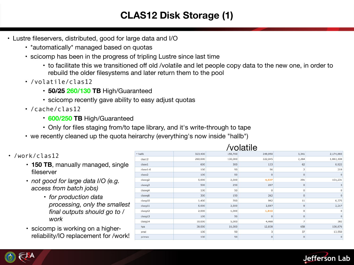### **CLAS12 Disk Storage (1)**

- Lustre fileservers, distributed, good for large data and I/O
	- \*automatically\* managed based on quotas
	- scicomp has been in the progress of tripling Lustre since last time
		- to facilitate this we transitioned off old /volatile and let people copy data to the new one, in order to rebuild the older filesystems and later return them to the pool
	- /volatile/clas12
		- **50/25 260/130 TB** High/Guaranteed
		- scicomp recently gave ability to easy adjust quotas
	- /cache/clas12
		- **600/250 TB** High/Guaranteed
		- Only for files staging from/to tape library, and it's write-through to tape
	- we recently cleaned up the quota heirarchy (everything's now inside "hallb")

|  |  | • /work/clas12 |
|--|--|----------------|
|--|--|----------------|

- **150 TB**, manually managed, single fileserver
- *not good for large data I/O (e.g. access from batch jobs)* 
	- *for production data processing, only the smallest final outputs should go to / work*
- scicomp is working on a higherreliability/IO replacement for /work!

| /volatile                      |         |         |                |                |                |  |  |  |  |
|--------------------------------|---------|---------|----------------|----------------|----------------|--|--|--|--|
| $\overline{\phantom{a}}$ hallb | 323,400 | 158,700 | 249,950        | 3,341          | 2,174,883      |  |  |  |  |
| clas12                         | 260,000 | 130,000 | 222,045        | 2,264          | 1,883,108      |  |  |  |  |
| clase1                         | 600     | 300     | 133            | 62             | 8,922          |  |  |  |  |
| $\text{close}$ 1-6             | 100     | 50      | 56             | 2              | 219            |  |  |  |  |
| clase2                         | 100     | 50      | $\mathbf 0$    | $\mathbf 0$    | $\bf 0$        |  |  |  |  |
| claseg2                        | 5,000   | 2,500   | 4,537          | 291            | 151,231        |  |  |  |  |
| claseg3                        | 500     | 250     | 207            | $\mathbf 0$    | 3              |  |  |  |  |
| claseg4                        | 100     | 50      | $^{\circ}$     | 0              | 0              |  |  |  |  |
| claseg6                        | 300     | 150     | 262            | $\mathsf{O}$   | $\overline{0}$ |  |  |  |  |
| clasg10                        | 1,400   | 700     | 992            | 11             | 6,375          |  |  |  |  |
| clasg11                        | 5,000   | 2,500   | 2,597          | $\overline{9}$ | 2,217          |  |  |  |  |
| clasg12                        | 2,000   | 1,000   | 1,812          | $\bf 0$        | $\circ$        |  |  |  |  |
| clasg13                        | 100     | 50      | $\overline{0}$ | $\mathbf 0$    | $\bf 0$        |  |  |  |  |
| clasg14                        | 10,000  | 5,000   | 4,468          | 7              | 382            |  |  |  |  |
| hps                            | 38,000  | 16,000  | 12,838         | 658            | 108,876        |  |  |  |  |
| prad                           | 100     | 50      | 3              | 37             | 13,550         |  |  |  |  |
| primex                         | 100     | 50      | $\circ$        | $\mathsf{O}$   | $\mathbf 0$    |  |  |  |  |
|                                |         |         |                |                |                |  |  |  |  |

/volatile



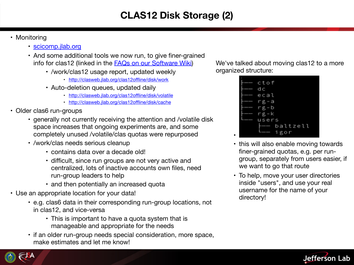- Monitoring
	- [scicomp.jlab.org](http://scicomp.jlab.org)
	- And some additional tools we now run, to give finer-grained info for clas12 (linked in the [FAQs on our Software Wiki\)](https://clasweb.jlab.org/wiki/index.php/CLAS12_Software_Center#tab=FAQ)
		- /work/clas12 usage report, updated weekly
			- <http://clasweb.jlab.org/clas12offline/disk/work>
		- Auto-deletion queues, updated daily
			- <http://clasweb.jlab.org/clas12offline/disk/volatile>
			- <http://clasweb.jlab.org/clas12offline/disk/cache>
- Older clas6 run-groups
	- generally not currently receiving the attention and /volatile disk space increases that ongoing experiments are, and some completely unused /volatile/clas quotas were repurposed
	- /work/clas needs serious cleanup
		- contains data over a decade old!
		- difficult, since run groups are not very active and centralized, lots of inactive accounts own files, need run-group leaders to help
		- and then potentially an increased quota
- Use an appropriate location for your data!
	- e.g. clas6 data in their corresponding run-group locations, not in clas12, and vice-versa
		- This is important to have a quota system that is manageable and appropriate for the needs
	- if an older run-group needs special consideration, more space, make estimates and let me know!

We've talked about moving clas12 to a more organized structure:



•

- this will also enable moving towards finer-grained quotas, e.g. per rungroup, separately from users easier, if we want to go that route
- To help, move your user directories inside "users", and use your real username for the name of your directory!



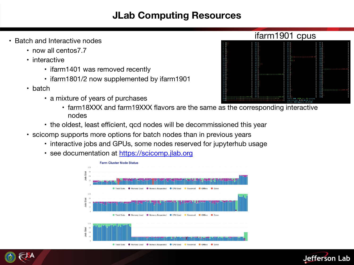#### **JLab Computing Resources**

- Batch and Interactive nodes
	- now all centos7.7
	- interactive
		- ifarm1401 was removed recently
		- ifarm1801/2 now supplemented by ifarm1901
	- batch
		- a mixture of years of purchases
			- farm18XXX and farm19XXX flavors are the same as the corresponding interactive nodes
		- the oldest, least efficient, qcd nodes will be decommissioned this year
	- scicomp supports more options for batch nodes than in previous years
		- interactive jobs and GPUs, some nodes reserved for jupyterhub usage
		- see documentation at <https://scicomp.jlab.org>







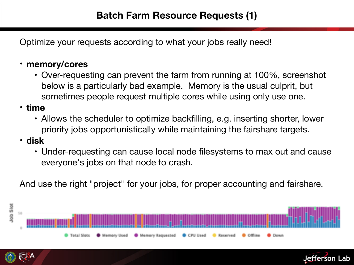Optimize your requests according to what your jobs really need!

#### • **memory/cores**

• Over-requesting can prevent the farm from running at 100%, screenshot below is a particularly bad example. Memory is the usual culprit, but sometimes people request multiple cores while using only use one.

• **time** 

- Allows the scheduler to optimize backfilling, e.g. inserting shorter, lower priority jobs opportunistically while maintaining the fairshare targets.
	- **disk**
	- https://scientification.com<br>Declinable.org.html everyone's jobs on that node to crash. • Under-requesting can cause local node filesystems to max out and cause

And use the right "project" for your jobs, for proper accounting and fairshare.





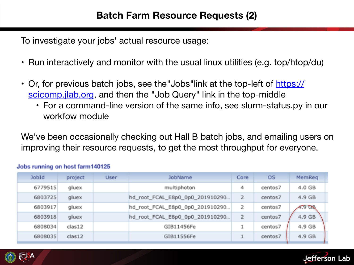To investigate your jobs' actual resource usage:

- Run interactively and monitor with the usual linux utilities (e.g. top/htop/du)
- Or, for previous batch jobs, see the "Jobs"link at the top-left of https://<br>scicomp.ilab.org. and then the "Job Query" link in the top-middle • Or, for previous batch jobs, see the Jobs link at the top-left of https:// [scicomp.jlab.org](https://scicomp.jlab.org), and then the "Job Query" link in the top-middle
- For a command-line version of the same info, see slurm-status.py in our runnium indication the Julian batch farm, learn to use the metric available here: we have the metric available h workfow module

We've been occasionally checking out Hall B batch jobs, and emailing users on Ig their resource requests, to get the most throughput for everyon improving their resource requests, to get the most throughput for everyone.

| JobId   | project | <b>User</b> | JobName                         | Core           | <b>OS</b> | MemReg          |
|---------|---------|-------------|---------------------------------|----------------|-----------|-----------------|
| 6779515 | gluex   |             | multiphoton                     | 4              | centos7   | 4.0 GB          |
| 6803725 | gluex   |             | hd_root_FCAL_E8p0_0p0_201910290 | $\overline{2}$ | centos7   | 4.9 GB          |
| 6803917 | gluex   |             | hd_root_FCAL_E8p0_0p0_201910290 | 2              | centos7   | 90 <sup>o</sup> |
| 6803918 | gluex   |             | hd_root_FCAL_E8p0_0p0_201910290 | $\overline{2}$ | centos7   | 4.9 GB          |
| 6808034 | class12 |             | GIB11456Fe                      |                | centos7   | 4.9 GB          |
| 6808035 | class12 |             | GIB11556Fe                      | ۰              | centos7   | 4.9 GB          |

#### Jobs running on host farm140125



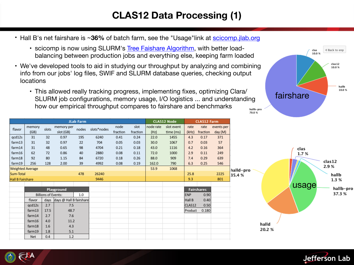- Hall B's net fairshare is ~**36%** of batch farm, see the "Usage"link at [scicomp.jlab.org](http://scicomp.jlab.org)
	- scicomp is now using SLURM's [Tree Faishare Algorithm](https://slurm.schedmd.com/fair_tree.html), with better loadbalancing between production jobs and everything else, keeping farm loaded
- We've developed tools to aid in studying our throughput by analyzing and combining info from our jobs' log files, SWIF and SLURM database queries, checking output locations
	- This allowed really tracking progress, implementing fixes, optimizing Clara/ SLURM job configurations, memory usage, I/O logistics ... and understanding how our empirical throughput compares to fairshare and benchmarkshallb-pro

| JLab Farm |                            |       |                         |       |             |          |          | <b>CLAS12 Node</b> |            | <b>CLAS12 Farm</b> |                   |            |           |
|-----------|----------------------------|-------|-------------------------|-------|-------------|----------|----------|--------------------|------------|--------------------|-------------------|------------|-----------|
| flavor    | memory                     | slots | memory per              | nodes | slots*nodes | node     | slot     | node rate          | slot event | rate               | rate              | events per |           |
|           | (GB)                       |       | slot (GB)               |       |             | fraction | fraction | (Hz)               | time (ms)  | (kHz)              | fraction          | day (M)    |           |
| qcd12s    | 31                         | 32    | 0.97                    | 195   | 6240        | 0.41     | 0.24     | 22.0               | 1455       | 4.3                | 0.17              | 371        |           |
| farm13    | 31                         | 32    | 0.97                    | 22    | 704         | 0.05     | 0.03     | 30.0               | 1067       | 0.7                | 0.03              | 57         |           |
| farm14    | 31                         | 48    | 0.65                    | 98    | 4704        | 0.21     | 0.18     | 43.0               | 1116       | 4.2                | 0.16              | 364        |           |
| farm16    | 62                         | 72    | 0.86                    | 40    | 2880        | 0.08     | 0.11     | 72.0               | 1000       | 2.9                | 0.11              | 249        |           |
| farm18    | 92                         | 80    | 1.15                    | 84    | 6720        | 0.18     | 0.26     | 88.0               | 909        | 7.4                | 0.29              | 639        |           |
| farm19    | 256                        | 128   | 2.00                    | 39    | 4992        | 0.08     | 0.19     | 162.0              | 790        | 6.3                | 0.25              | 546        |           |
|           | <b>Weighted Average</b>    |       |                         |       |             |          |          | 53.9               | 1068       |                    |                   |            | halld-pro |
| Sum-Total |                            |       |                         | 478   | 26240       |          |          |                    |            | 25.8               |                   | 2225       | 35.4%     |
|           | <b>Hall B Fairshare</b>    |       |                         | 9446  |             |          |          |                    | 9.3        |                    | 801               |            |           |
|           |                            |       |                         |       |             |          |          |                    |            |                    |                   |            |           |
|           | Playground                 |       |                         |       |             |          |          |                    |            |                    | <b>Fairshares</b> |            |           |
|           | <b>Billions of Events:</b> |       | 1.0                     |       |             |          |          |                    | <b>ENP</b> | 0.90               |                   |            |           |
|           | flavor                     | days  | days @ Hall B fairshare |       |             |          |          |                    |            | Hall B             | 0.40              |            |           |
|           | gcd12s                     | 2.7   | 7.5                     |       |             |          |          |                    |            | CLAS12             | 0.50              |            |           |
|           | farm13                     | 17.5  | 48.7                    |       |             |          |          |                    |            | Product            | 0.180             |            |           |
|           | farm14                     | 2.7   | 7.6                     |       |             |          |          |                    |            |                    |                   |            |           |
|           | farm16                     | 4.0   | 11.2                    |       |             |          |          |                    |            |                    |                   |            |           |
|           | farm18                     | 1.6   | 4.3                     |       |             |          |          |                    |            |                    |                   |            |           |
|           | farm19                     | 1.8   | 5.1                     |       |             |          |          |                    |            |                    |                   |            |           |
|           | Net                        | 0.4   | 1.2                     |       |             |          |          |                    |            |                    |                   |            |           |
|           |                            |       |                         |       |             |          |          |                    |            |                    |                   |            |           |







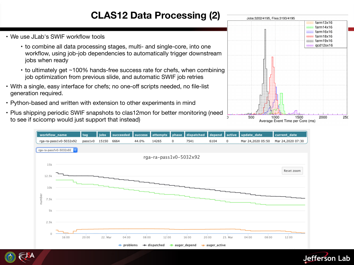#### **CLAS12 Data Processing (2)**

- We use JLab's SWIF workflow tools
	- to combine all data processing stages, multi- and single-core, into one workflow, using job-job dependencies to automatically trigger downstream jobs when ready
	- to ultimately get ~100% hands-free success rate for chefs, when combining job optimization from previous slide, and automatic SWIF job retries
- With a single, easy interface for chefs; no one-off scripts needed, no file-list generation required.
- Python-based and written with extension to other experiments in mind
- Plus shipping periodic SWIF snapshots to clas12mon for better monitoring (need to see if scicomp would just support that instead)





Jefferson Lab